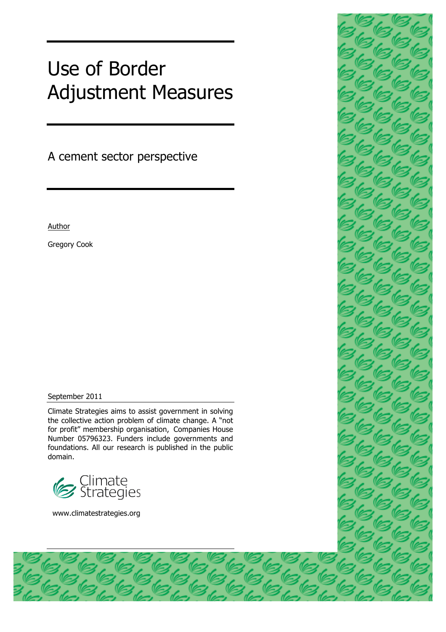# Use of Border Adjustment Measures

A cement sector perspective

Author

Gregory Cook

#### September 2011

Climate Strategies aims to assist government in solving the collective action problem of climate change. A "not for profit" membership organisation, Companies House Number 05796323. Funders include governments and foundations. All our research is published in the public domain.



www.climatestrategies.org

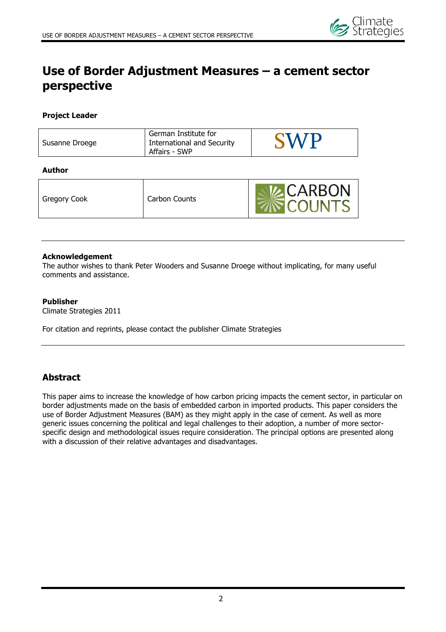

# **Use of Border Adjustment Measures – a cement sector perspective**

#### **Project Leader**

| Susanne Droege | German Institute for<br><b>International and Security</b><br>Affairs - SWP | <b>CIAZD</b> |
|----------------|----------------------------------------------------------------------------|--------------|
|                |                                                                            |              |

#### **Author**

#### **Acknowledgement**

The author wishes to thank Peter Wooders and Susanne Droege without implicating, for many useful comments and assistance.

#### **Publisher**

Climate Strategies 2011

For citation and reprints, please contact the publisher Climate Strategies

## **Abstract**

This paper aims to increase the knowledge of how carbon pricing impacts the cement sector, in particular on border adjustments made on the basis of embedded carbon in imported products. This paper considers the use of Border Adjustment Measures (BAM) as they might apply in the case of cement. As well as more generic issues concerning the political and legal challenges to their adoption, a number of more sectorspecific design and methodological issues require consideration. The principal options are presented along with a discussion of their relative advantages and disadvantages.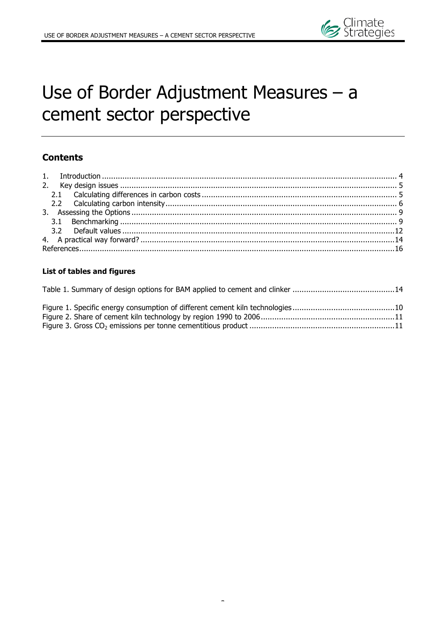# Use of Border Adjustment Measures – a cement sector perspective

## **Contents**

### **List of tables and figures**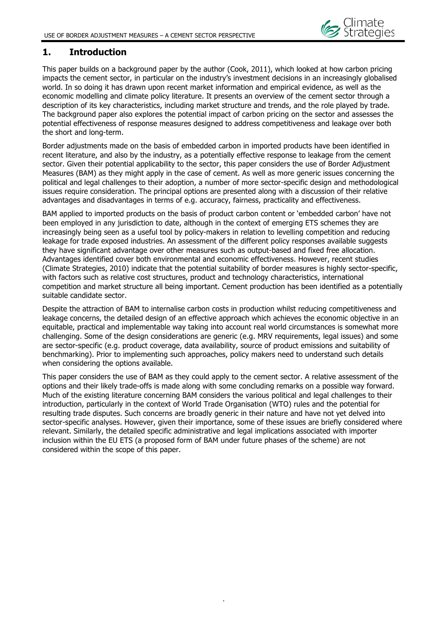## **1. Introduction**

This paper builds on a background paper by the author (Cook, 2011), which looked at how carbon pricing impacts the cement sector, in particular on the industry's investment decisions in an increasingly globalised world. In so doing it has drawn upon recent market information and empirical evidence, as well as the economic modelling and climate policy literature. It presents an overview of the cement sector through a description of its key characteristics, including market structure and trends, and the role played by trade. The background paper also explores the potential impact of carbon pricing on the sector and assesses the potential effectiveness of response measures designed to address competitiveness and leakage over both the short and long-term.

Border adjustments made on the basis of embedded carbon in imported products have been identified in recent literature, and also by the industry, as a potentially effective response to leakage from the cement sector. Given their potential applicability to the sector, this paper considers the use of Border Adjustment Measures (BAM) as they might apply in the case of cement. As well as more generic issues concerning the political and legal challenges to their adoption, a number of more sector-specific design and methodological issues require consideration. The principal options are presented along with a discussion of their relative advantages and disadvantages in terms of e.g. accuracy, fairness, practicality and effectiveness.

BAM applied to imported products on the basis of product carbon content or 'embedded carbon' have not been employed in any jurisdiction to date, although in the context of emerging ETS schemes they are increasingly being seen as a useful tool by policy-makers in relation to levelling competition and reducing leakage for trade exposed industries. An assessment of the different policy responses available suggests they have significant advantage over other measures such as output-based and fixed free allocation. Advantages identified cover both environmental and economic effectiveness. However, recent studies (Climate Strategies, 2010) indicate that the potential suitability of border measures is highly sector-specific, with factors such as relative cost structures, product and technology characteristics, international competition and market structure all being important. Cement production has been identified as a potentially suitable candidate sector.

Despite the attraction of BAM to internalise carbon costs in production whilst reducing competitiveness and leakage concerns, the detailed design of an effective approach which achieves the economic objective in an equitable, practical and implementable way taking into account real world circumstances is somewhat more challenging. Some of the design considerations are generic (e.g. MRV requirements, legal issues) and some are sector-specific (e.g. product coverage, data availability, source of product emissions and suitability of benchmarking). Prior to implementing such approaches, policy makers need to understand such details when considering the options available.

This paper considers the use of BAM as they could apply to the cement sector. A relative assessment of the options and their likely trade-offs is made along with some concluding remarks on a possible way forward. Much of the existing literature concerning BAM considers the various political and legal challenges to their introduction, particularly in the context of World Trade Organisation (WTO) rules and the potential for resulting trade disputes. Such concerns are broadly generic in their nature and have not yet delved into sector-specific analyses. However, given their importance, some of these issues are briefly considered where relevant. Similarly, the detailed specific administrative and legal implications associated with importer inclusion within the EU ETS (a proposed form of BAM under future phases of the scheme) are not considered within the scope of this paper.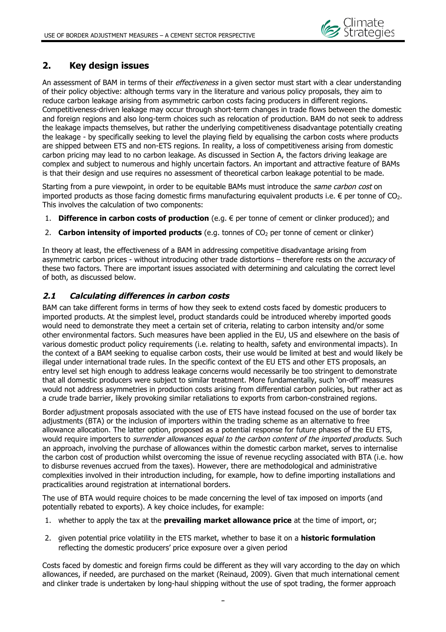

## **2. Key design issues**

An assessment of BAM in terms of their *effectiveness* in a given sector must start with a clear understanding of their policy objective: although terms vary in the literature and various policy proposals, they aim to reduce carbon leakage arising from asymmetric carbon costs facing producers in different regions. Competitiveness-driven leakage may occur through short-term changes in trade flows between the domestic and foreign regions and also long-term choices such as relocation of production. BAM do not seek to address the leakage impacts themselves, but rather the underlying competitiveness disadvantage potentially creating the leakage - by specifically seeking to level the playing field by equalising the carbon costs where products are shipped between ETS and non-ETS regions. In reality, a loss of competitiveness arising from domestic carbon pricing may lead to no carbon leakage. As discussed in Section A, the factors driving leakage are complex and subject to numerous and highly uncertain factors. An important and attractive feature of BAMs is that their design and use requires no assessment of theoretical carbon leakage potential to be made.

Starting from a pure viewpoint, in order to be equitable BAMs must introduce the same carbon cost on imported products as those facing domestic firms manufacturing equivalent products i.e.  $\epsilon$  per tonne of CO<sub>2</sub>. This involves the calculation of two components:

- **Difference in carbon costs of production** (e.g. € per tonne of cement or clinker produced); and
- 2. **Carbon intensity of imported products** (e.g. tonnes of CO<sub>2</sub> per tonne of cement or clinker)

In theory at least, the effectiveness of a BAM in addressing competitive disadvantage arising from asymmetric carbon prices - without introducing other trade distortions – therefore rests on the *accuracy* of these two factors. There are important issues associated with determining and calculating the correct level of both, as discussed below.

#### **2.1 Calculating differences in carbon costs**

BAM can take different forms in terms of how they seek to extend costs faced by domestic producers to imported products. At the simplest level, product standards could be introduced whereby imported goods would need to demonstrate they meet a certain set of criteria, relating to carbon intensity and/or some other environmental factors. Such measures have been applied in the EU, US and elsewhere on the basis of various domestic product policy requirements (i.e. relating to health, safety and environmental impacts). In the context of a BAM seeking to equalise carbon costs, their use would be limited at best and would likely be illegal under international trade rules. In the specific context of the EU ETS and other ETS proposals, an entry level set high enough to address leakage concerns would necessarily be too stringent to demonstrate that all domestic producers were subject to similar treatment. More fundamentally, such 'on-off' measures would not address asymmetries in production costs arising from differential carbon policies, but rather act as a crude trade barrier, likely provoking similar retaliations to exports from carbon-constrained regions.

Border adjustment proposals associated with the use of ETS have instead focused on the use of border tax adjustments (BTA) or the inclusion of importers within the trading scheme as an alternative to free allowance allocation. The latter option, proposed as a potential response for future phases of the EU ETS, would require importers to surrender allowances equal to the carbon content of the imported products. Such an approach, involving the purchase of allowances within the domestic carbon market, serves to internalise the carbon cost of production whilst overcoming the issue of revenue recycling associated with BTA (i.e. how to disburse revenues accrued from the taxes). However, there are methodological and administrative complexities involved in their introduction including, for example, how to define importing installations and practicalities around registration at international borders.

The use of BTA would require choices to be made concerning the level of tax imposed on imports (and potentially rebated to exports). A key choice includes, for example:

- 1. whether to apply the tax at the **prevailing market allowance price** at the time of import, or;
- 2. given potential price volatility in the ETS market, whether to base it on a **historic formulation** reflecting the domestic producers' price exposure over a given period

Costs faced by domestic and foreign firms could be different as they will vary according to the day on which allowances, if needed, are purchased on the market (Reinaud, 2009). Given that much international cement and clinker trade is undertaken by long-haul shipping without the use of spot trading, the former approach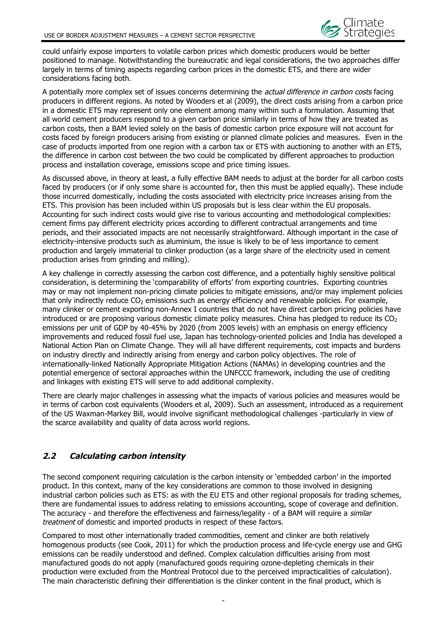

could unfairly expose importers to volatile carbon prices which domestic producers would be better positioned to manage. Notwithstanding the bureaucratic and legal considerations, the two approaches differ largely in terms of timing aspects regarding carbon prices in the domestic ETS, and there are wider considerations facing both.

A potentially more complex set of issues concerns determining the *actual difference in carbon costs* facing producers in different regions. As noted by Wooders et al (2009), the direct costs arising from a carbon price in a domestic ETS may represent only one element among many within such a formulation. Assuming that all world cement producers respond to a given carbon price similarly in terms of how they are treated as carbon costs, then a BAM levied solely on the basis of domestic carbon price exposure will not account for costs faced by foreign producers arising from existing or planned climate policies and measures. Even in the case of products imported from one region with a carbon tax or ETS with auctioning to another with an ETS, the difference in carbon cost between the two could be complicated by different approaches to production process and installation coverage, emissions scope and price timing issues.

As discussed above, in theory at least, a fully effective BAM needs to adjust at the border for all carbon costs faced by producers (or if only some share is accounted for, then this must be applied equally). These include those incurred domestically, including the costs associated with electricity price increases arising from the ETS. This provision has been included within US proposals but is less clear within the EU proposals. Accounting for such indirect costs would give rise to various accounting and methodological complexities: cement firms pay different electricity prices according to different contractual arrangements and time periods, and their associated impacts are not necessarily straightforward. Although important in the case of electricity-intensive products such as aluminium, the issue is likely to be of less importance to cement production and largely immaterial to clinker production (as a large share of the electricity used in cement production arises from grinding and milling).

A key challenge in correctly assessing the carbon cost difference, and a potentially highly sensitive political consideration, is determining the 'comparability of efforts' from exporting countries. Exporting countries may or may not implement non-pricing climate policies to mitigate emissions, and/or may implement policies that only indirectly reduce  $CO<sub>2</sub>$  emissions such as energy efficiency and renewable policies. For example, many clinker or cement exporting non-Annex I countries that do not have direct carbon pricing policies have introduced or are proposing various domestic climate policy measures. China has pledged to reduce its  $CO<sub>2</sub>$ emissions per unit of GDP by 40-45% by 2020 (from 2005 levels) with an emphasis on energy efficiency improvements and reduced fossil fuel use, Japan has technology-oriented policies and India has developed a National Action Plan on Climate Change. They will all have different requirements, cost impacts and burdens on industry directly and indirectly arising from energy and carbon policy objectives. The role of internationally-linked Nationally Appropriate Mitigation Actions (NAMAs) in developing countries and the potential emergence of sectoral approaches within the UNFCCC framework, including the use of crediting and linkages with existing ETS will serve to add additional complexity.

There are clearly major challenges in assessing what the impacts of various policies and measures would be in terms of carbon cost equivalents (Wooders et al, 2009). Such an assessment, introduced as a requirement of the US Waxman-Markey Bill, would involve significant methodological challenges -particularly in view of the scarce availability and quality of data across world regions.

## **2.2 Calculating carbon intensity**

The second component requiring calculation is the carbon intensity or 'embedded carbon' in the imported product. In this context, many of the key considerations are common to those involved in designing industrial carbon policies such as ETS: as with the EU ETS and other regional proposals for trading schemes, there are fundamental issues to address relating to emissions accounting, scope of coverage and definition. The accuracy - and therefore the effectiveness and fairness/legality - of a BAM will require a *similar* treatment of domestic and imported products in respect of these factors.

Compared to most other internationally traded commodities, cement and clinker are both relatively homogenous products (see Cook, 2011) for which the production process and life-cycle energy use and GHG emissions can be readily understood and defined. Complex calculation difficulties arising from most manufactured goods do not apply (manufactured goods requiring ozone-depleting chemicals in their production were excluded from the Montreal Protocol due to the perceived impracticalities of calculation). The main characteristic defining their differentiation is the clinker content in the final product, which is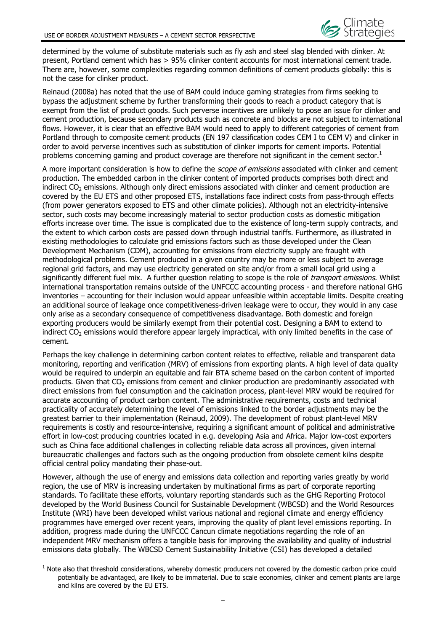determined by the volume of substitute materials such as fly ash and steel slag blended with clinker. At present, Portland cement which has > 95% clinker content accounts for most international cement trade. There are, however, some complexities regarding common definitions of cement products globally: this is not the case for clinker product.

Reinaud (2008a) has noted that the use of BAM could induce gaming strategies from firms seeking to bypass the adjustment scheme by further transforming their goods to reach a product category that is exempt from the list of product goods. Such perverse incentives are unlikely to pose an issue for clinker and cement production, because secondary products such as concrete and blocks are not subject to international flows. However, it is clear that an effective BAM would need to apply to different categories of cement from Portland through to composite cement products (EN 197 classification codes CEM I to CEM V) and clinker in order to avoid perverse incentives such as substitution of clinker imports for cement imports. Potential problems concerning gaming and product coverage are therefore not significant in the cement sector.<sup>1</sup>

A more important consideration is how to define the *scope of emissions* associated with clinker and cement production. The embedded carbon in the clinker content of imported products comprises both direct and indirect  $CO<sub>2</sub>$  emissions. Although only direct emissions associated with clinker and cement production are covered by the EU ETS and other proposed ETS, installations face indirect costs from pass-through effects (from power generators exposed to ETS and other climate policies). Although not an electricity-intensive sector, such costs may become increasingly material to sector production costs as domestic mitigation efforts increase over time. The issue is complicated due to the existence of long-term supply contracts, and the extent to which carbon costs are passed down through industrial tariffs. Furthermore, as illustrated in existing methodologies to calculate grid emissions factors such as those developed under the Clean Development Mechanism (CDM), accounting for emissions from electricity supply are fraught with methodological problems. Cement produced in a given country may be more or less subject to average regional grid factors, and may use electricity generated on site and/or from a small local grid using a significantly different fuel mix. A further question relating to scope is the role of *transport emissions*. Whilst international transportation remains outside of the UNFCCC accounting process - and therefore national GHG inventories – accounting for their inclusion would appear unfeasible within acceptable limits. Despite creating an additional source of leakage once competitiveness-driven leakage were to occur, they would in any case only arise as a secondary consequence of competitiveness disadvantage. Both domestic and foreign exporting producers would be similarly exempt from their potential cost. Designing a BAM to extend to indirect  $CO<sub>2</sub>$  emissions would therefore appear largely impractical, with only limited benefits in the case of cement.

Perhaps the key challenge in determining carbon content relates to effective, reliable and transparent data monitoring, reporting and verification (MRV) of emissions from exporting plants. A high level of data quality would be required to underpin an equitable and fair BTA scheme based on the carbon content of imported products. Given that  $CO<sub>2</sub>$  emissions from cement and clinker production are predominantly associated with direct emissions from fuel consumption and the calcination process, plant-level MRV would be required for accurate accounting of product carbon content. The administrative requirements, costs and technical practicality of accurately determining the level of emissions linked to the border adjustments may be the greatest barrier to their implementation (Reinaud, 2009). The development of robust plant-level MRV requirements is costly and resource-intensive, requiring a significant amount of political and administrative effort in low-cost producing countries located in e.g. developing Asia and Africa. Major low-cost exporters such as China face additional challenges in collecting reliable data across all provinces, given internal bureaucratic challenges and factors such as the ongoing production from obsolete cement kilns despite official central policy mandating their phase-out.

However, although the use of energy and emissions data collection and reporting varies greatly by world region, the use of MRV is increasing undertaken by multinational firms as part of corporate reporting standards. To facilitate these efforts, voluntary reporting standards such as the GHG Reporting Protocol developed by the World Business Council for Sustainable Development (WBCSD) and the World Resources Institute (WRI) have been developed whilst various national and regional climate and energy efficiency programmes have emerged over recent years, improving the quality of plant level emissions reporting. In addition, progress made during the UNFCCC Cancun climate negotiations regarding the role of an independent MRV mechanism offers a tangible basis for improving the availability and quality of industrial emissions data globally. The WBCSD Cement Sustainability Initiative (CSI) has developed a detailed

 $\overline{a}$ 

 $<sup>1</sup>$  Note also that threshold considerations, whereby domestic producers not covered by the domestic carbon price could</sup> potentially be advantaged, are likely to be immaterial. Due to scale economies, clinker and cement plants are large and kilns are covered by the EU ETS.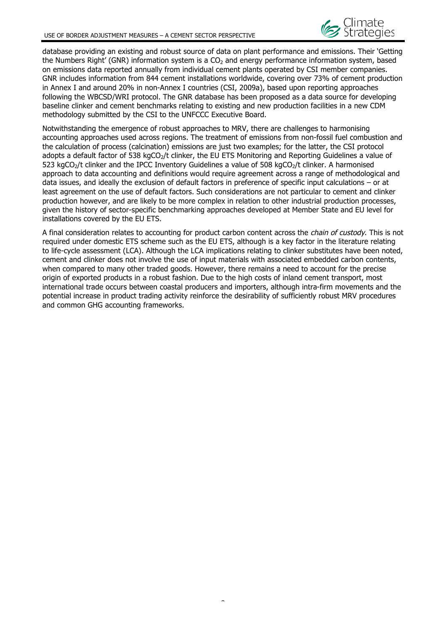database providing an existing and robust source of data on plant performance and emissions. Their 'Getting the Numbers Right' (GNR) information system is a  $CO<sub>2</sub>$  and energy performance information system, based on emissions data reported annually from individual cement plants operated by CSI member companies. GNR includes information from 844 cement installations worldwide, covering over 73% of cement production in Annex I and around 20% in non-Annex I countries (CSI, 2009a), based upon reporting approaches following the WBCSD/WRI protocol. The GNR database has been proposed as a data source for developing baseline clinker and cement benchmarks relating to existing and new production facilities in a new CDM methodology submitted by the CSI to the UNFCCC Executive Board.

Notwithstanding the emergence of robust approaches to MRV, there are challenges to harmonising accounting approaches used across regions. The treatment of emissions from non-fossil fuel combustion and the calculation of process (calcination) emissions are just two examples; for the latter, the CSI protocol adopts a default factor of 538 kgCO<sub>2</sub>/t clinker, the EU ETS Monitoring and Reporting Guidelines a value of 523 kgCO<sub>2</sub>/t clinker and the IPCC Inventory Guidelines a value of 508 kgCO<sub>2</sub>/t clinker. A harmonised approach to data accounting and definitions would require agreement across a range of methodological and data issues, and ideally the exclusion of default factors in preference of specific input calculations – or at least agreement on the use of default factors. Such considerations are not particular to cement and clinker production however, and are likely to be more complex in relation to other industrial production processes, given the history of sector-specific benchmarking approaches developed at Member State and EU level for installations covered by the EU ETS.

A final consideration relates to accounting for product carbon content across the *chain of custody*. This is not required under domestic ETS scheme such as the EU ETS, although is a key factor in the literature relating to life-cycle assessment (LCA). Although the LCA implications relating to clinker substitutes have been noted, cement and clinker does not involve the use of input materials with associated embedded carbon contents, when compared to many other traded goods. However, there remains a need to account for the precise origin of exported products in a robust fashion. Due to the high costs of inland cement transport, most international trade occurs between coastal producers and importers, although intra-firm movements and the potential increase in product trading activity reinforce the desirability of sufficiently robust MRV procedures and common GHG accounting frameworks.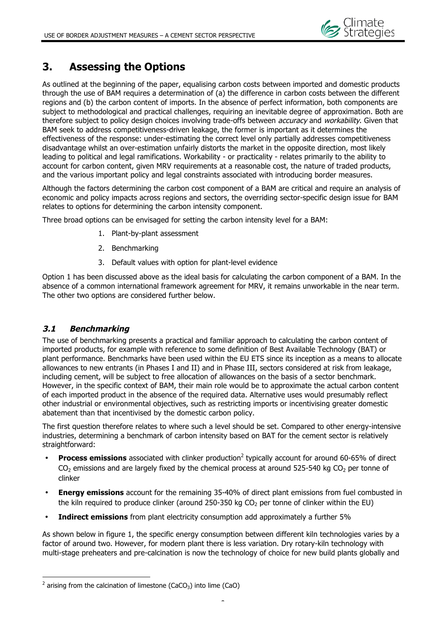## **3. Assessing the Options**

As outlined at the beginning of the paper, equalising carbon costs between imported and domestic products through the use of BAM requires a determination of (a) the difference in carbon costs between the different regions and (b) the carbon content of imports. In the absence of perfect information, both components are subject to methodological and practical challenges, requiring an inevitable degree of approximation. Both are therefore subject to policy design choices involving trade-offs between *accuracy* and *workability*. Given that BAM seek to address competitiveness-driven leakage, the former is important as it determines the effectiveness of the response: under-estimating the correct level only partially addresses competitiveness disadvantage whilst an over-estimation unfairly distorts the market in the opposite direction, most likely leading to political and legal ramifications. Workability - or practicality - relates primarily to the ability to account for carbon content, given MRV requirements at a reasonable cost, the nature of traded products, and the various important policy and legal constraints associated with introducing border measures.

Although the factors determining the carbon cost component of a BAM are critical and require an analysis of economic and policy impacts across regions and sectors, the overriding sector-specific design issue for BAM relates to options for determining the carbon intensity component.

Three broad options can be envisaged for setting the carbon intensity level for a BAM:

- 1. Plant-by-plant assessment
- 2. Benchmarking
- 3. Default values with option for plant-level evidence

Option 1 has been discussed above as the ideal basis for calculating the carbon component of a BAM. In the absence of a common international framework agreement for MRV, it remains unworkable in the near term. The other two options are considered further below.

## **3.1 Benchmarking**

 $\overline{a}$ 

The use of benchmarking presents a practical and familiar approach to calculating the carbon content of imported products, for example with reference to some definition of Best Available Technology (BAT) or plant performance. Benchmarks have been used within the EU ETS since its inception as a means to allocate allowances to new entrants (in Phases I and II) and in Phase III, sectors considered at risk from leakage, including cement, will be subject to free allocation of allowances on the basis of a sector benchmark. However, in the specific context of BAM, their main role would be to approximate the actual carbon content of each imported product in the absence of the required data. Alternative uses would presumably reflect other industrial or environmental objectives, such as restricting imports or incentivising greater domestic abatement than that incentivised by the domestic carbon policy.

The first question therefore relates to where such a level should be set. Compared to other energy-intensive industries, determining a benchmark of carbon intensity based on BAT for the cement sector is relatively straightforward:

- **Process emissions** associated with clinker production<sup>2</sup> typically account for around 60-65% of direct  $CO<sub>2</sub>$  emissions and are largely fixed by the chemical process at around 525-540 kg  $CO<sub>2</sub>$  per tonne of clinker
- **Energy emissions** account for the remaining 35-40% of direct plant emissions from fuel combusted in the kiln required to produce clinker (around 250-350 kg  $CO<sub>2</sub>$  per tonne of clinker within the EU)
- **Indirect emissions** from plant electricity consumption add approximately a further 5%

As shown below in figure 1, the specific energy consumption between different kiln technologies varies by a factor of around two. However, for modern plant there is less variation. Dry rotary-kiln technology with multi-stage preheaters and pre-calcination is now the technology of choice for new build plants globally and

 $2$  arising from the calcination of limestone (CaCO<sub>3</sub>) into lime (CaO)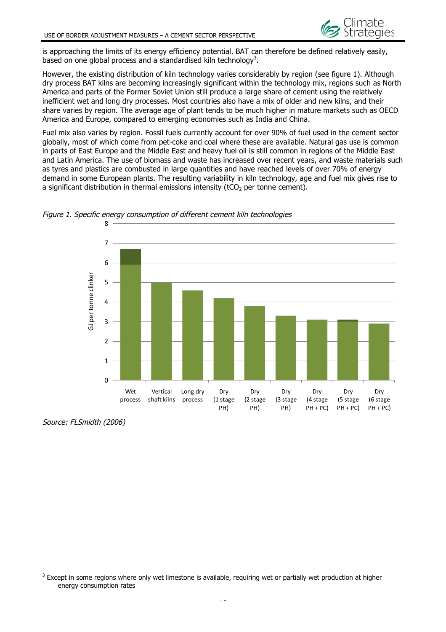is approaching the limits of its energy efficiency potential. BAT can therefore be defined relatively easily, based on one global process and a standardised kiln technology<sup>3</sup>.

However, the existing distribution of kiln technology varies considerably by region (see figure 1). Although dry process BAT kilns are becoming increasingly significant within the technology mix, regions such as North America and parts of the Former Soviet Union still produce a large share of cement using the relatively inefficient wet and long dry processes. Most countries also have a mix of older and new kilns, and their share varies by region. The average age of plant tends to be much higher in mature markets such as OECD America and Europe, compared to emerging economies such as India and China.

Fuel mix also varies by region. Fossil fuels currently account for over 90% of fuel used in the cement sector globally, most of which come from pet-coke and coal where these are available. Natural gas use is common in parts of East Europe and the Middle East and heavy fuel oil is still common in regions of the Middle East and Latin America. The use of biomass and waste has increased over recent years, and waste materials such as tyres and plastics are combusted in large quantities and have reached levels of over 70% of energy demand in some European plants. The resulting variability in kiln technology, age and fuel mix gives rise to a significant distribution in thermal emissions intensity ( $tCO<sub>2</sub>$  per tonne cement).





Source: FLSmidth (2006)

 $\overline{a}$ 

<sup>&</sup>lt;sup>3</sup> Except in some regions where only wet limestone is available, requiring wet or partially wet production at higher energy consumption rates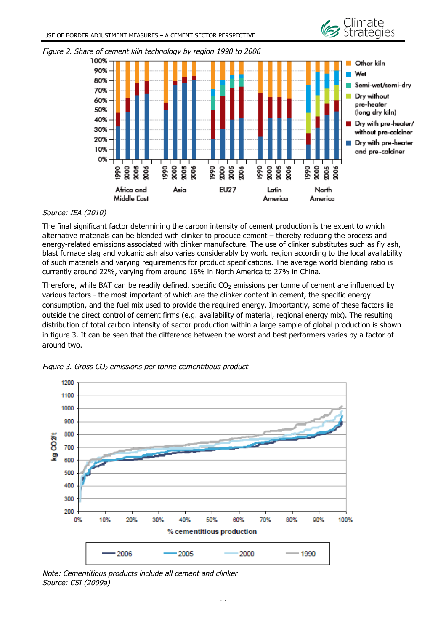



#### Figure 2. Share of cement kiln technology by region 1990 to 2006

#### Source: IEA (2010)

The final significant factor determining the carbon intensity of cement production is the extent to which alternative materials can be blended with clinker to produce cement – thereby reducing the process and energy-related emissions associated with clinker manufacture. The use of clinker substitutes such as fly ash, blast furnace slag and volcanic ash also varies considerably by world region according to the local availability of such materials and varying requirements for product specifications. The average world blending ratio is currently around 22%, varying from around 16% in North America to 27% in China.

Therefore, while BAT can be readily defined, specific  $CO<sub>2</sub>$  emissions per tonne of cement are influenced by various factors - the most important of which are the clinker content in cement, the specific energy consumption, and the fuel mix used to provide the required energy. Importantly, some of these factors lie outside the direct control of cement firms (e.g. availability of material, regional energy mix). The resulting distribution of total carbon intensity of sector production within a large sample of global production is shown in figure 3. It can be seen that the difference between the worst and best performers varies by a factor of around two.



Figure 3. Gross  $CO<sub>2</sub>$  emissions per tonne cementitious product

Note: Cementitious products include all cement and clinker Source: CSI (2009a)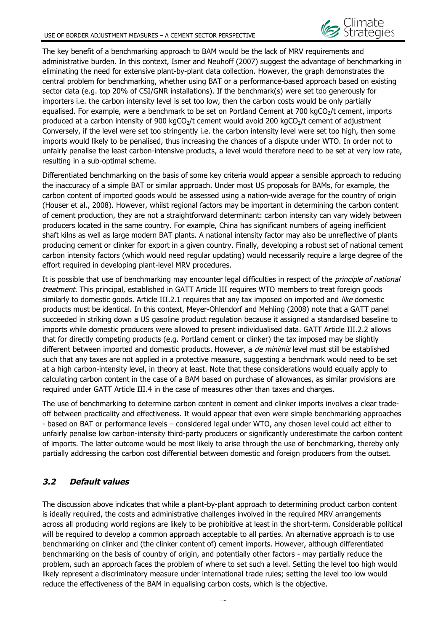The key benefit of a benchmarking approach to BAM would be the lack of MRV requirements and administrative burden. In this context, Ismer and Neuhoff (2007) suggest the advantage of benchmarking in eliminating the need for extensive plant-by-plant data collection. However, the graph demonstrates the central problem for benchmarking, whether using BAT or a performance-based approach based on existing sector data (e.g. top 20% of CSI/GNR installations). If the benchmark(s) were set too generously for importers i.e. the carbon intensity level is set too low, then the carbon costs would be only partially equalised. For example, were a benchmark to be set on Portland Cement at 700 kgCO<sub>2</sub>/t cement, imports produced at a carbon intensity of 900 kgCO<sub>2</sub>/t cement would avoid 200 kgCO<sub>2</sub>/t cement of adjustment Conversely, if the level were set too stringently i.e. the carbon intensity level were set too high, then some imports would likely to be penalised, thus increasing the chances of a dispute under WTO. In order not to unfairly penalise the least carbon-intensive products, a level would therefore need to be set at very low rate, resulting in a sub-optimal scheme.

Differentiated benchmarking on the basis of some key criteria would appear a sensible approach to reducing the inaccuracy of a simple BAT or similar approach. Under most US proposals for BAMs, for example, the carbon content of imported goods would be assessed using a nation-wide average for the country of origin (Houser et al., 2008). However, whilst regional factors may be important in determining the carbon content of cement production, they are not a straightforward determinant: carbon intensity can vary widely between producers located in the same country. For example, China has significant numbers of ageing inefficient shaft kilns as well as large modern BAT plants. A national intensity factor may also be unreflective of plants producing cement or clinker for export in a given country. Finally, developing a robust set of national cement carbon intensity factors (which would need regular updating) would necessarily require a large degree of the effort required in developing plant-level MRV procedures.

It is possible that use of benchmarking may encounter legal difficulties in respect of the *principle of national* treatment. This principal, established in GATT Article III requires WTO members to treat foreign goods similarly to domestic goods. Article III.2.1 requires that any tax imposed on imported and like domestic products must be identical. In this context, Meyer-Ohlendorf and Mehling (2008) note that a GATT panel succeeded in striking down a US gasoline product regulation because it assigned a standardised baseline to imports while domestic producers were allowed to present individualised data. GATT Article III.2.2 allows that for directly competing products (e.g. Portland cement or clinker) the tax imposed may be slightly different between imported and domestic products. However, a *de minimis* level must still be established such that any taxes are not applied in a protective measure, suggesting a benchmark would need to be set at a high carbon-intensity level, in theory at least. Note that these considerations would equally apply to calculating carbon content in the case of a BAM based on purchase of allowances, as similar provisions are required under GATT Article III.4 in the case of measures other than taxes and charges.

The use of benchmarking to determine carbon content in cement and clinker imports involves a clear tradeoff between practicality and effectiveness. It would appear that even were simple benchmarking approaches - based on BAT or performance levels – considered legal under WTO, any chosen level could act either to unfairly penalise low carbon-intensity third-party producers or significantly underestimate the carbon content of imports. The latter outcome would be most likely to arise through the use of benchmarking, thereby only partially addressing the carbon cost differential between domestic and foreign producers from the outset.

## **3.2 Default values**

The discussion above indicates that while a plant-by-plant approach to determining product carbon content is ideally required, the costs and administrative challenges involved in the required MRV arrangements across all producing world regions are likely to be prohibitive at least in the short-term. Considerable political will be required to develop a common approach acceptable to all parties. An alternative approach is to use benchmarking on clinker and (the clinker content of) cement imports. However, although differentiated benchmarking on the basis of country of origin, and potentially other factors - may partially reduce the problem, such an approach faces the problem of where to set such a level. Setting the level too high would likely represent a discriminatory measure under international trade rules; setting the level too low would reduce the effectiveness of the BAM in equalising carbon costs, which is the objective.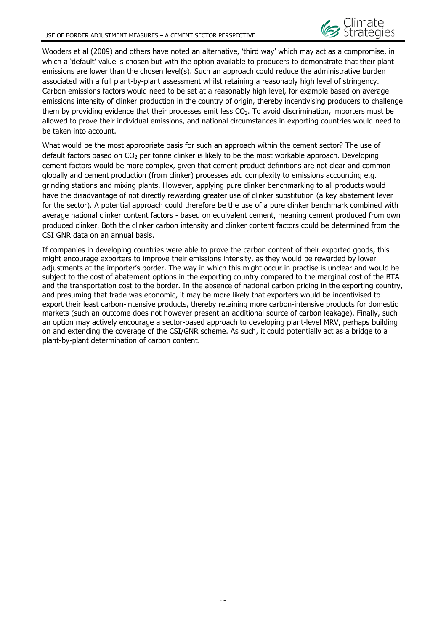Wooders et al (2009) and others have noted an alternative, 'third way' which may act as a compromise, in which a 'default' value is chosen but with the option available to producers to demonstrate that their plant emissions are lower than the chosen level(s). Such an approach could reduce the administrative burden associated with a full plant-by-plant assessment whilst retaining a reasonably high level of stringency. Carbon emissions factors would need to be set at a reasonably high level, for example based on average emissions intensity of clinker production in the country of origin, thereby incentivising producers to challenge them by providing evidence that their processes emit less  $CO<sub>2</sub>$ . To avoid discrimination, importers must be allowed to prove their individual emissions, and national circumstances in exporting countries would need to be taken into account.

What would be the most appropriate basis for such an approach within the cement sector? The use of default factors based on  $CO<sub>2</sub>$  per tonne clinker is likely to be the most workable approach. Developing cement factors would be more complex, given that cement product definitions are not clear and common globally and cement production (from clinker) processes add complexity to emissions accounting e.g. grinding stations and mixing plants. However, applying pure clinker benchmarking to all products would have the disadvantage of not directly rewarding greater use of clinker substitution (a key abatement lever for the sector). A potential approach could therefore be the use of a pure clinker benchmark combined with average national clinker content factors - based on equivalent cement, meaning cement produced from own produced clinker. Both the clinker carbon intensity and clinker content factors could be determined from the CSI GNR data on an annual basis.

If companies in developing countries were able to prove the carbon content of their exported goods, this might encourage exporters to improve their emissions intensity, as they would be rewarded by lower adjustments at the importer's border. The way in which this might occur in practise is unclear and would be subject to the cost of abatement options in the exporting country compared to the marginal cost of the BTA and the transportation cost to the border. In the absence of national carbon pricing in the exporting country, and presuming that trade was economic, it may be more likely that exporters would be incentivised to export their least carbon-intensive products, thereby retaining more carbon-intensive products for domestic markets (such an outcome does not however present an additional source of carbon leakage). Finally, such an option may actively encourage a sector-based approach to developing plant-level MRV, perhaps building on and extending the coverage of the CSI/GNR scheme. As such, it could potentially act as a bridge to a plant-by-plant determination of carbon content.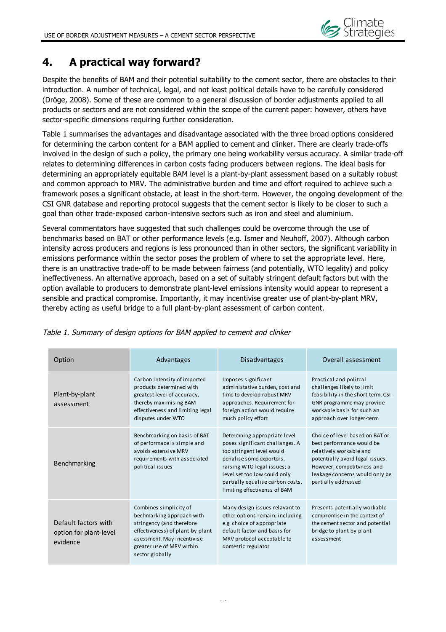

## **4. A practical way forward?**

Despite the benefits of BAM and their potential suitability to the cement sector, there are obstacles to their introduction. A number of technical, legal, and not least political details have to be carefully considered (Dröge, 2008). Some of these are common to a general discussion of border adjustments applied to all products or sectors and are not considered within the scope of the current paper: however, others have sector-specific dimensions requiring further consideration.

Table 1 summarises the advantages and disadvantage associated with the three broad options considered for determining the carbon content for a BAM applied to cement and clinker. There are clearly trade-offs involved in the design of such a policy, the primary one being workability versus accuracy. A similar trade-off relates to determining differences in carbon costs facing producers between regions. The ideal basis for determining an appropriately equitable BAM level is a plant-by-plant assessment based on a suitably robust and common approach to MRV. The administrative burden and time and effort required to achieve such a framework poses a significant obstacle, at least in the short-term. However, the ongoing development of the CSI GNR database and reporting protocol suggests that the cement sector is likely to be closer to such a goal than other trade-exposed carbon-intensive sectors such as iron and steel and aluminium.

Several commentators have suggested that such challenges could be overcome through the use of benchmarks based on BAT or other performance levels (e.g. Ismer and Neuhoff, 2007). Although carbon intensity across producers and regions is less pronounced than in other sectors, the significant variability in emissions performance within the sector poses the problem of where to set the appropriate level. Here, there is an unattractive trade-off to be made between fairness (and potentially, WTO legality) and policy ineffectiveness. An alternative approach, based on a set of suitably stringent default factors but with the option available to producers to demonstrate plant-level emissions intensity would appear to represent a sensible and practical compromise. Importantly, it may incentivise greater use of plant-by-plant MRV, thereby acting as useful bridge to a full plant-by-plant assessment of carbon content.

| Option                                                     | Advantages                                                                                                                                                                                         | <b>Disadvantages</b>                                                                                                                                                                                                                                        | Overall assessment                                                                                                                                                                                                |
|------------------------------------------------------------|----------------------------------------------------------------------------------------------------------------------------------------------------------------------------------------------------|-------------------------------------------------------------------------------------------------------------------------------------------------------------------------------------------------------------------------------------------------------------|-------------------------------------------------------------------------------------------------------------------------------------------------------------------------------------------------------------------|
| Plant-by-plant<br>assessment                               | Carbon intensity of imported<br>products determined with<br>greatest level of accuracy,<br>thereby maximising BAM<br>effectiveness and limiting legal<br>disputes under WTO                        | Imposes significant<br>administative burden, cost and<br>time to develop robust MRV<br>approaches. Requirement for<br>foreign action would require<br>much policy effort                                                                                    | Practical and politcal<br>challenges likely to limit<br>feasibility in the short-term. CSI-<br>GNR programme may provide<br>workable basis for such an<br>approach over longer-term                               |
| Benchmarking                                               | Benchmarking on basis of BAT<br>of performace is simple and<br>avoids extensive MRV<br>requirements with associated<br>political issues                                                            | Determning appropriate level<br>poses significant challanges. A<br>too stringent level would<br>penalise some exporters,<br>raising WTO legal issues; a<br>level set too low could only<br>partially equalise carbon costs,<br>limiting effectivenss of BAM | Choice of level based on BAT or<br>best performance would be<br>relatively workable and<br>potentially avoid legal issues.<br>However, competitvness and<br>leakage concerns would only be<br>partially addressed |
| Default factors with<br>option for plant-level<br>evidence | Combines simplicity of<br>bechmarking approach with<br>stringency (and therefore<br>effectiveness) of plant-by-plant<br>asessment. May incentivise<br>greater use of MRV within<br>sector globally | Many design issues relavant to<br>other options remain, including<br>e.g. choice of appropriate<br>default factor and basis for<br>MRV protocol acceptable to<br>domestic regulator                                                                         | Presents potentially workable<br>compromise in the context of<br>the cement sector and potential<br>bridge to plant-by-plant<br>assessment                                                                        |

Table 1. Summary of design options for BAM applied to cement and clinker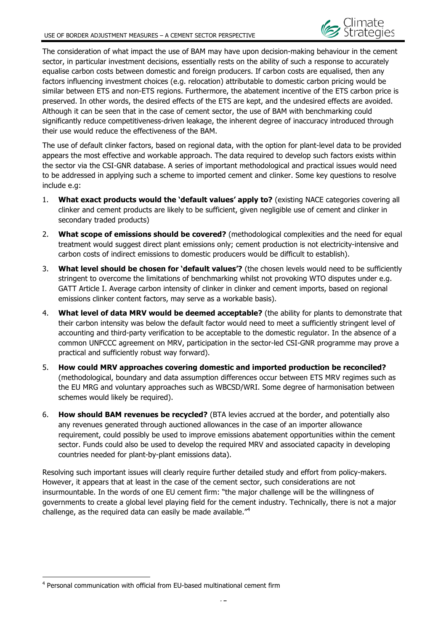The consideration of what impact the use of BAM may have upon decision-making behaviour in the cement sector, in particular investment decisions, essentially rests on the ability of such a response to accurately equalise carbon costs between domestic and foreign producers. If carbon costs are equalised, then any factors influencing investment choices (e.g. relocation) attributable to domestic carbon pricing would be similar between ETS and non-ETS regions. Furthermore, the abatement incentive of the ETS carbon price is preserved. In other words, the desired effects of the ETS are kept, and the undesired effects are avoided. Although it can be seen that in the case of cement sector, the use of BAM with benchmarking could significantly reduce competitiveness-driven leakage, the inherent degree of inaccuracy introduced through their use would reduce the effectiveness of the BAM.

The use of default clinker factors, based on regional data, with the option for plant-level data to be provided appears the most effective and workable approach. The data required to develop such factors exists within the sector via the CSI-GNR database. A series of important methodological and practical issues would need to be addressed in applying such a scheme to imported cement and clinker. Some key questions to resolve include e.g:

- 1. **What exact products would the 'default values' apply to?** (existing NACE categories covering all clinker and cement products are likely to be sufficient, given negligible use of cement and clinker in secondary traded products)
- 2. **What scope of emissions should be covered?** (methodological complexities and the need for equal treatment would suggest direct plant emissions only; cement production is not electricity-intensive and carbon costs of indirect emissions to domestic producers would be difficult to establish).
- 3. **What level should be chosen for 'default values'?** (the chosen levels would need to be sufficiently stringent to overcome the limitations of benchmarking whilst not provoking WTO disputes under e.g. GATT Article I. Average carbon intensity of clinker in clinker and cement imports, based on regional emissions clinker content factors, may serve as a workable basis).
- 4. **What level of data MRV would be deemed acceptable?** (the ability for plants to demonstrate that their carbon intensity was below the default factor would need to meet a sufficiently stringent level of accounting and third-party verification to be acceptable to the domestic regulator. In the absence of a common UNFCCC agreement on MRV, participation in the sector-led CSI-GNR programme may prove a practical and sufficiently robust way forward).
- 5. **How could MRV approaches covering domestic and imported production be reconciled?** (methodological, boundary and data assumption differences occur between ETS MRV regimes such as the EU MRG and voluntary approaches such as WBCSD/WRI. Some degree of harmonisation between schemes would likely be required).
- 6. **How should BAM revenues be recycled?** (BTA levies accrued at the border, and potentially also any revenues generated through auctioned allowances in the case of an importer allowance requirement, could possibly be used to improve emissions abatement opportunities within the cement sector. Funds could also be used to develop the required MRV and associated capacity in developing countries needed for plant-by-plant emissions data).

Resolving such important issues will clearly require further detailed study and effort from policy-makers. However, it appears that at least in the case of the cement sector, such considerations are not insurmountable. In the words of one EU cement firm: "the major challenge will be the willingness of governments to create a global level playing field for the cement industry. Technically, there is not a major challenge, as the required data can easily be made available."<sup>4</sup>

 $\overline{a}$ 

<sup>4</sup> Personal communication with official from EU-based multinational cement firm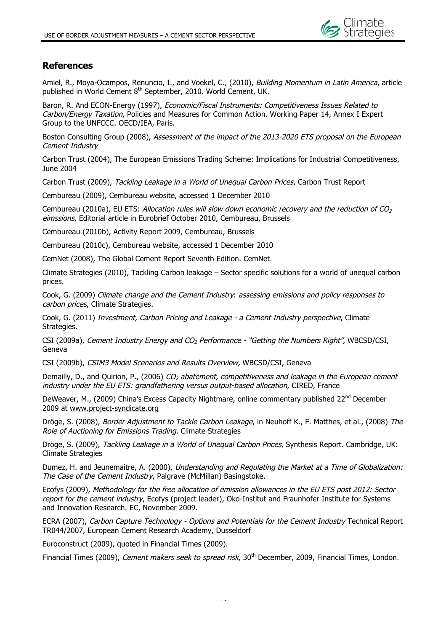

## **References**

Amiel, R., Moya-Ocampos, Renuncio, I., and Voekel, C., (2010), *Building Momentum in Latin America*, article published in World Cement 8<sup>th</sup> September, 2010. World Cement, UK.

Baron, R. And ECON-Energy (1997), Economic/Fiscal Instruments: Competitiveness Issues Related to Carbon/Energy Taxation, Policies and Measures for Common Action. Working Paper 14, Annex I Expert Group to the UNFCCC. OECD/IEA, Paris.

Boston Consulting Group (2008), Assessment of the impact of the 2013-2020 ETS proposal on the European Cement Industry

Carbon Trust (2004), The European Emissions Trading Scheme: Implications for Industrial Competitiveness, June 2004

Carbon Trust (2009), Tackling Leakage in a World of Unequal Carbon Prices, Carbon Trust Report

Cembureau (2009), Cembureau website, accessed 1 December 2010

Cembureau (2010a), EU ETS: Allocation rules will slow down economic recovery and the reduction of CO<sub>2</sub> eimssions, Editorial article in Eurobrief October 2010, Cembureau, Brussels

Cembureau (2010b), Activity Report 2009, Cembureau, Brussels

Cembureau (2010c), Cembureau website, accessed 1 December 2010

CemNet (2008), The Global Cement Report Seventh Edition. CemNet.

Climate Strategies (2010), Tackling Carbon leakage – Sector specific solutions for a world of unequal carbon prices.

Cook, G. (2009) Climate change and the Cement Industry: assessing emissions and policy responses to carbon prices, Climate Strategies.

Cook, G. (2011) Investment, Carbon Pricing and Leakage - a Cement Industry perspective, Climate Strategies.

CSI (2009a), Cement Industry Energy and CO<sub>2</sub> Performance - "Getting the Numbers Right", WBCSD/CSI, Geneva

CSI (2009b), CSIM3 Model Scenarios and Results Overview, WBCSD/CSI, Geneva

Demailly, D., and Quirion, P., (2006) CO<sub>2</sub> abatement, competitiveness and leakage in the European cement industry under the EU ETS: grandfathering versus output-based allocation, CIRED, France

DeWeaver, M., (2009) China's Excess Capacity Nightmare, online commentary published 22<sup>nd</sup> December 2009 at www.project-syndicate.org

Dröge, S. (2008), Border Adjustment to Tackle Carbon Leakage, in Neuhoff K., F. Matthes, et al., (2008) The Role of Auctioning for Emissions Trading. Climate Strategies

Dröge, S. (2009), Tackling Leakage in a World of Unequal Carbon Prices, Synthesis Report. Cambridge, UK: Climate Strategies

Dumez, H. and Jeunemaitre, A. (2000), Understanding and Regulating the Market at a Time of Globalization: The Case of the Cement Industry, Palgrave (McMillan) Basingstoke.

Ecofys (2009), Methodology for the free allocation of emission allowances in the EU ETS post 2012: Sector report for the cement industry, Ecofys (project leader), Oko-Institut and Fraunhofer Institute for Systems and Innovation Research. EC, November 2009.

ECRA (2007), Carbon Capture Technology - Options and Potentials for the Cement Industry Technical Report TR044/2007, European Cement Research Academy, Dusseldorf

Euroconstruct (2009), quoted in Financial Times (2009).

Financial Times (2009), *Cement makers seek to spread risk*, 30<sup>th</sup> December, 2009, Financial Times, London.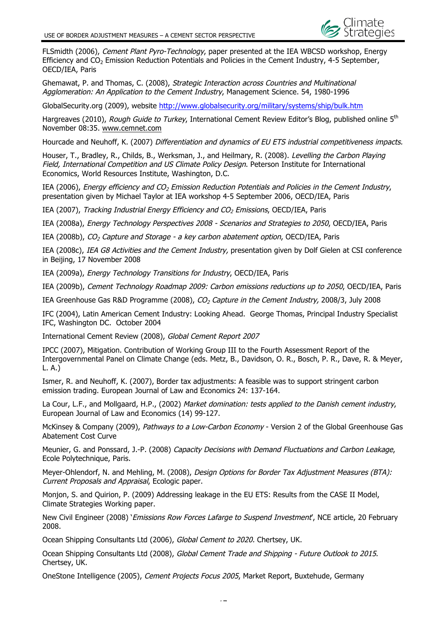FLSmidth (2006), Cement Plant Pyro-Technology, paper presented at the IEA WBCSD workshop, Energy Efficiency and CO<sub>2</sub> Emission Reduction Potentials and Policies in the Cement Industry, 4-5 September, OECD/IEA, Paris

Ghemawat, P. and Thomas, C. (2008), Strategic Interaction across Countries and Multinational Agglomeration: An Application to the Cement Industry, Management Science. 54, 1980-1996

GlobalSecurity.org (2009), website http://www.globalsecurity.org/military/systems/ship/bulk.htm

Hargreaves (2010), Rough Guide to Turkey, International Cement Review Editor's Blog, published online 5<sup>th</sup> November 08:35. www.cemnet.com

Hourcade and Neuhoff, K. (2007) Differentiation and dynamics of EU ETS industrial competitiveness impacts.

Houser, T., Bradley, R., Childs, B., Werksman, J., and Heilmary, R. (2008). Levelling the Carbon Playing Field, International Competition and US Climate Policy Design. Peterson Institute for International Economics, World Resources Institute, Washington, D.C.

IEA (2006), Energy efficiency and  $CO<sub>2</sub>$  Emission Reduction Potentials and Policies in the Cement Industry, presentation given by Michael Taylor at IEA workshop 4-5 September 2006, OECD/IEA, Paris

IEA (2007), Tracking Industrial Energy Efficiency and  $CO<sub>2</sub>$  Emissions, OECD/IEA, Paris

IEA (2008a), Energy Technology Perspectives 2008 - Scenarios and Strategies to 2050, OECD/IEA, Paris

IEA (2008b),  $CO_2$  Capture and Storage - a key carbon abatement option, OECD/IEA, Paris

IEA (2008c), IEA G8 Activities and the Cement Industry, presentation given by Dolf Gielen at CSI conference in Beijing, 17 November 2008

IEA (2009a), Energy Technology Transitions for Industry, OECD/IEA, Paris

IEA (2009b), Cement Technology Roadmap 2009: Carbon emissions reductions up to 2050, OECD/IEA, Paris

IEA Greenhouse Gas R&D Programme (2008), CO<sub>2</sub> Capture in the Cement Industry, 2008/3, July 2008

IFC (2004), Latin American Cement Industry: Looking Ahead. George Thomas, Principal Industry Specialist IFC, Washington DC. October 2004

International Cement Review (2008), Global Cement Report 2007

IPCC (2007), Mitigation. Contribution of Working Group III to the Fourth Assessment Report of the Intergovernmental Panel on Climate Change (eds. Metz, B., Davidson, O. R., Bosch, P. R., Dave, R. & Meyer, L. A.)

Ismer, R. and Neuhoff, K. (2007), Border tax adjustments: A feasible was to support stringent carbon emission trading. European Journal of Law and Economics 24: 137-164.

La Cour, L.F., and Mollgaard, H.P., (2002) Market domination: tests applied to the Danish cement industry, European Journal of Law and Economics (14) 99-127.

McKinsey & Company (2009), Pathways to a Low-Carbon Economy - Version 2 of the Global Greenhouse Gas Abatement Cost Curve

Meunier, G. and Ponssard, J.-P. (2008) Capacity Decisions with Demand Fluctuations and Carbon Leakage, Ecole Polytechnique, Paris.

Meyer-Ohlendorf, N. and Mehling, M. (2008), Design Options for Border Tax Adjustment Measures (BTA): Current Proposals and Appraisal, Ecologic paper.

Monjon, S. and Quirion, P. (2009) Addressing leakage in the EU ETS: Results from the CASE II Model, Climate Strategies Working paper.

New Civil Engineer (2008) '*Emissions Row Forces Lafarge to Suspend Investment'*, NCE article, 20 February 2008.

Ocean Shipping Consultants Ltd (2006), Global Cement to 2020. Chertsey, UK.

Ocean Shipping Consultants Ltd (2008), Global Cement Trade and Shipping - Future Outlook to 2015. Chertsey, UK.

OneStone Intelligence (2005), Cement Projects Focus 2005, Market Report, Buxtehude, Germany